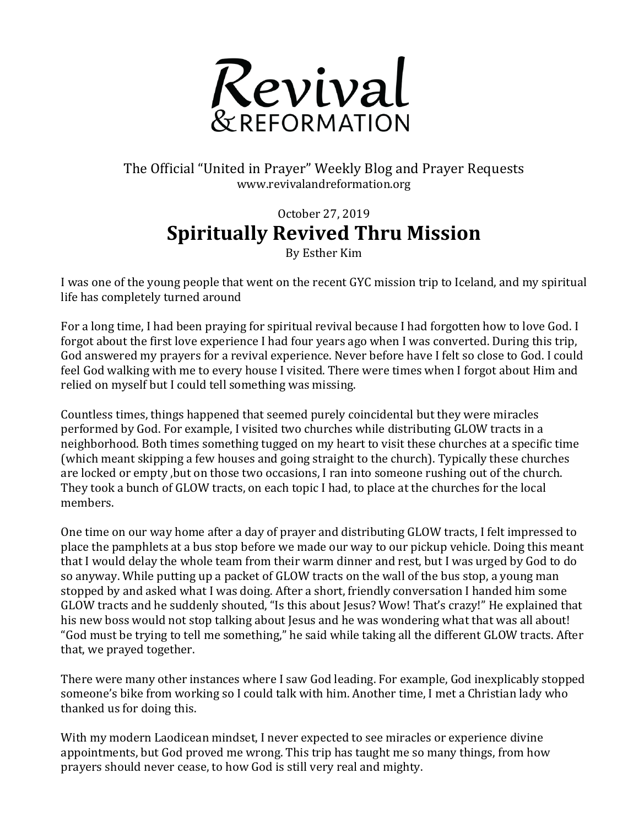

The Official "United in Prayer" Weekly Blog and Prayer Requests www.revivalandreformation.org

## October 27, 2019 **Spiritually Revived Thru Mission**

By Esther Kim

I was one of the young people that went on the recent GYC mission trip to Iceland, and my spiritual life has completely turned around

For a long time, I had been praying for spiritual revival because I had forgotten how to love God. I forgot about the first love experience I had four years ago when I was converted. During this trip, God answered my prayers for a revival experience. Never before have I felt so close to God. I could feel God walking with me to every house I visited. There were times when I forgot about Him and relied on myself but I could tell something was missing.

Countless times, things happened that seemed purely coincidental but they were miracles performed by God. For example, I visited two churches while distributing GLOW tracts in a neighborhood. Both times something tugged on my heart to visit these churches at a specific time (which meant skipping a few houses and going straight to the church). Typically these churches are locked or empty, but on those two occasions. I ran into someone rushing out of the church. They took a bunch of GLOW tracts, on each topic I had, to place at the churches for the local members. 

One time on our way home after a day of prayer and distributing GLOW tracts. I felt impressed to place the pamphlets at a bus stop before we made our way to our pickup vehicle. Doing this meant that I would delay the whole team from their warm dinner and rest, but I was urged by God to do so anyway. While putting up a packet of GLOW tracts on the wall of the bus stop, a young man stopped by and asked what I was doing. After a short, friendly conversation I handed him some GLOW tracts and he suddenly shouted, "Is this about Jesus? Wow! That's crazy!" He explained that his new boss would not stop talking about Jesus and he was wondering what that was all about! "God must be trying to tell me something," he said while taking all the different GLOW tracts. After that, we prayed together.

There were many other instances where I saw God leading. For example, God inexplicably stopped someone's bike from working so I could talk with him. Another time, I met a Christian lady who thanked us for doing this.

With my modern Laodicean mindset, I never expected to see miracles or experience divine appointments, but God proved me wrong. This trip has taught me so many things, from how prayers should never cease, to how God is still very real and mighty.